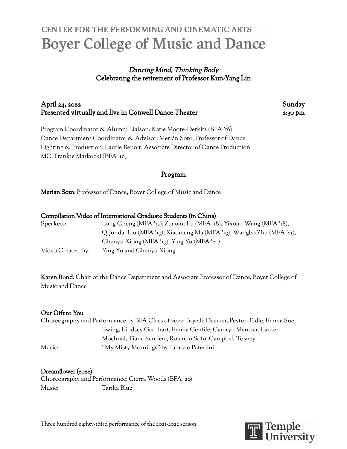# **CENTER FOR THE PERFORMING AND CINEMATIC ARTS Boyer College of Music and Dance**

# Dancing Mind, Thinking Body Celebrating the retirement of Professor Kun-Yang Lin

# April 24, 2022 Sunday Presented virtually and live in Conwell Dance Theater 2:30 pm

Program Coordinator & Alumni Liaison: Katie Moore-Derkits (BFA '16) Dance Department Coordinator & Advisor: Merián Soto, Professor of Dance Lighting & Production: Laurie Benoit, Associate Director of Dance Production MC: Frankie Markocki (BFA '16)

# Program

Merián Soto: Professor of Dance, Boyer College of Music and Dance

| Compilation Video of International Graduate Students (in China) |  |  |  |
|-----------------------------------------------------------------|--|--|--|
|                                                                 |  |  |  |

| Speakers:         | Long Cheng (MFA '17), Zhaomi Lu (MFA '18), Yixuan Wang (MFA '18),    |
|-------------------|----------------------------------------------------------------------|
|                   | Qijundai Liu (MFA '19), Xiaomeng Ma (MFA '19), Wangbo Zhu (MFA '21), |
|                   | Chenyu Xiong (MFA '19), Ying Yu (MFA '20)                            |
| Video Created By: | Ying Yu and Chenyu Xiong                                             |

Karen Bond: Chair of the Dance Department and Associate Professor of Dance, Boyer College of Music and Dance

## Our Gift to You

Choreography and Performance by BFA Class of 2022: Bryelle Deemer, Peyton Eidle, Emma Sue Ewing, Lindsey Garnhart, Emma Gentile, Camryn Mentzer, Lauren Mochnal, Tiana Sanders, Rolando Soto, Campbell Tosney Music: "My Misty Mornings" by Fabrizio Paterlini

## Dreamflower (2022)

Choreography and Performance: Cierra Woods (BFA '20) Music: Tarika Blue

Three hundred eighty-third performance of the 2021-2022 season.

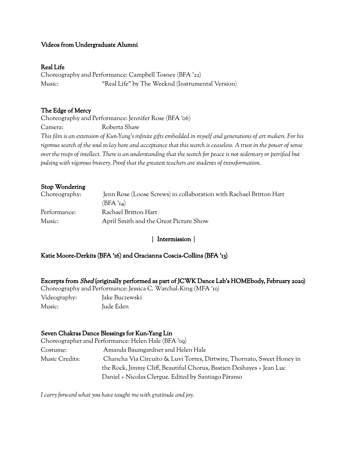## Videos from Undergraduate Alumni

#### Real Life

Choreography and Performance: Campbell Tosney (BFA '22) Music: "Real Life" by The Weeknd (Instrumental Version)

#### The Edge of Mercy

Choreography and Performance: Jennifer Rose (BFA '06)

Camera: Roberta Shaw

This film is an extension of Kun-Yang's infinite gifts embedded in myself and generations of art makers. For his rigorous search of the soul to lay bare and acceptance that this search is ceaseless. A trust in the power of sense over the traps of intellect. There is an understanding that the search for peace is not sedentary or petrified but *pulsing with vigorous bravery. Proof that the greatest teachers are students of transformation.*

### Stop Wondering

| Choreography: | Jenn Rose (Loose Screws) in collaboration with Rachael Britton Hart |
|---------------|---------------------------------------------------------------------|
|               | (BFA'14)                                                            |
| Performance:  | Rachael Britton Hart                                                |
| Music:        | April Smith and the Great Picture Show                              |

#### | Intermission |

#### Katie Moore-Derkits (BFA '16) and Gracianna Coscia-Collins (BFA '13)

Excerpts from Shed (originally performed as part of JCWK Dance Lab's HOMEbody, February 2020) Choreography and Performance: Jessica C. Warchal-King (MFA '10)

Videography: Jake Buczewski Music: Jude Eden

#### Seven Chakras Dance Blessings for Kun-Yang Lin

Choreographer and Performance: Helen Hale (BFA '09) Costume: Amanda Baumgardner and Helen Hale Music Credits: Chancha Via Circuito & Luvi Torres, Dirtwire, Thornato, Sweet Honey in the Rock, Jimmy Cliff, Beautiful Chorus, Bastien Deshayes + Jean Luc Daniel + Nicolas Clergue. Edited by Santiago Páramo

*I carry forward what you have taught me with gratitude and joy.*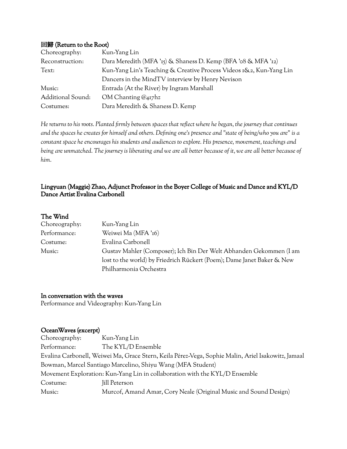#### 回歸 (Return to the Root)

| Choreography:     | Kun-Yang Lin                                                        |
|-------------------|---------------------------------------------------------------------|
| Reconstruction:   | Dara Meredith (MFA '15) & Shaness D. Kemp (BFA '08 & MFA '12)       |
| Text:             | Kun-Yang Lin's Teaching & Creative Process Videos 1&2, Kun-Yang Lin |
|                   | Dancers in the MindTV interview by Henry Nevison                    |
| Music:            | Entrada (At the River) by Ingram Marshall                           |
| Additional Sound: | OM Chanting $@_{417}$ hz                                            |
| Costumes:         | Dara Meredith & Shaness D. Kemp                                     |

He returns to his roots. Planted firmly between spaces that reflect where he began, the journey that continues and the spaces he creates for himself and others. Defining one's presence and "state of being/who you are" is a *constant space he encourages his students and audiences to explore. His presence, movement, teachings and* being are unmatched. The journey is liberating and we are all better because of it, we are all better because of *him.*

## Lingyuan (Maggie) Zhao, Adjunct Professor in the Boyer College of Music and Dance and KYL/D Dance Artist Evalina Carbonell

#### The Wind

| Choreography: | Kun-Yang Lin                                                           |
|---------------|------------------------------------------------------------------------|
| Performance:  | Weiwei Ma (MFA '16)                                                    |
| Costume:      | Evalina Carbonell                                                      |
| Music:        | Gustav Mahler (Composer); Ich Bin Der Welt Abhanden Gekommen (I am     |
|               | lost to the world) by Friedrich Rückert (Poem); Dame Janet Baker & New |
|               | Philharmonia Orchestra                                                 |

In conversation with the waves Performance and Videography: Kun-Yang Lin

#### OceanWaves (excerpt)

| Choreography: | Kun-Yang Lin                                                                                       |
|---------------|----------------------------------------------------------------------------------------------------|
| Performance:  | The KYL/D Ensemble                                                                                 |
|               | Evalina Carbonell, Weiwei Ma, Grace Stern, Keila Pérez-Vega, Sophie Malin, Ariel Isakowitz, Jamaal |
|               | Bowman, Marcel Santiago Marcelino, Shiyu Wang (MFA Student)                                        |
|               | Movement Exploration: Kun-Yang Lin in collaboration with the KYL/D Ensemble                        |
| Costume:      | Jill Peterson                                                                                      |
| Music:        | Murcof, Amand Amar, Cory Neale (Original Music and Sound Design)                                   |